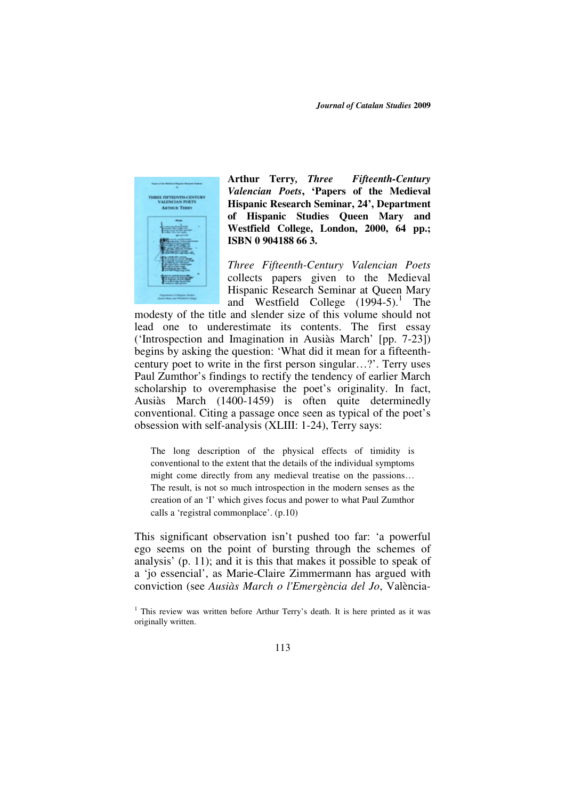*Journal of Catalan Studies* **2009** 



**Arthur Terry***, Three Fifteenth-Century Valencian Poets***, 'Papers of the Medieval Hispanic Research Seminar, 24', Department of Hispanic Studies Queen Mary and Westfield College, London, 2000, 64 pp.; ISBN 0 904188 66 3.** 

*Three Fifteenth-Century Valencian Poets* collects papers given to the Medieval Hispanic Research Seminar at Queen Mary and Westfield College  $(1994-5)$ .<sup>1</sup> The

modesty of the title and slender size of this volume should not lead one to underestimate its contents. The first essay ('Introspection and Imagination in Ausiàs March' [pp. 7-23]) begins by asking the question: 'What did it mean for a fifteenthcentury poet to write in the first person singular…?'. Terry uses Paul Zumthor's findings to rectify the tendency of earlier March scholarship to overemphasise the poet's originality. In fact, Ausiàs March (1400-1459) is often quite determinedly conventional. Citing a passage once seen as typical of the poet's obsession with self-analysis (XLIII: 1-24), Terry says:

The long description of the physical effects of timidity is conventional to the extent that the details of the individual symptoms might come directly from any medieval treatise on the passions… The result, is not so much introspection in the modern senses as the creation of an 'I' which gives focus and power to what Paul Zumthor calls a 'registral commonplace'. (p.10)

This significant observation isn't pushed too far: 'a powerful ego seems on the point of bursting through the schemes of analysis' (p. 11); and it is this that makes it possible to speak of a 'jo essencial', as Marie-Claire Zimmermann has argued with conviction (see *Ausiàs March o l'Emergència del Jo*, València-

<sup>&</sup>lt;sup>1</sup> This review was written before Arthur Terry's death. It is here printed as it was originally written.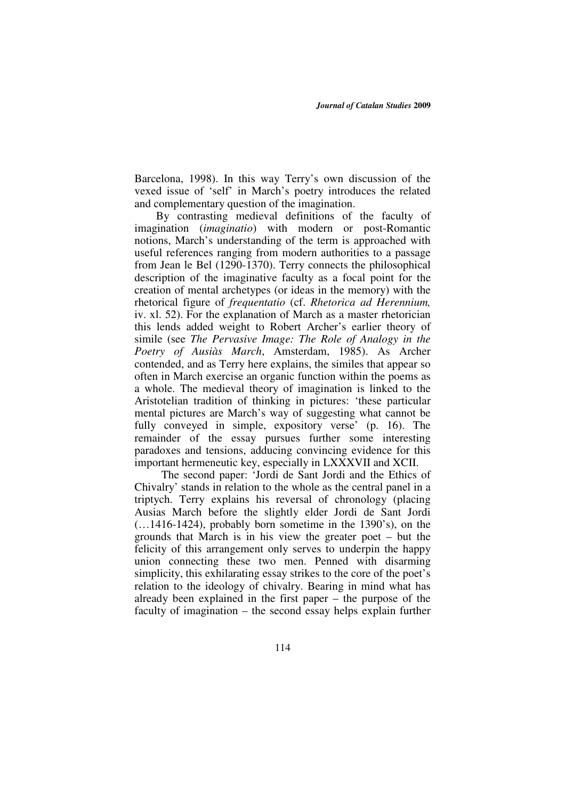Barcelona, 1998). In this way Terry's own discussion of the vexed issue of 'self' in March's poetry introduces the related and complementary question of the imagination.

 By contrasting medieval definitions of the faculty of imagination (*imaginatio*) with modern or post-Romantic notions, March's understanding of the term is approached with useful references ranging from modern authorities to a passage from Jean le Bel (1290-1370). Terry connects the philosophical description of the imaginative faculty as a focal point for the creation of mental archetypes (or ideas in the memory) with the rhetorical figure of *frequentatio* (cf. *Rhetorica ad Herennium,* iv. xl. 52). For the explanation of March as a master rhetorician this lends added weight to Robert Archer's earlier theory of simile (see *The Pervasive Image: The Role of Analogy in the Poetry of Ausiàs March*, Amsterdam, 1985). As Archer contended, and as Terry here explains, the similes that appear so often in March exercise an organic function within the poems as a whole. The medieval theory of imagination is linked to the Aristotelian tradition of thinking in pictures: 'these particular mental pictures are March's way of suggesting what cannot be fully conveyed in simple, expository verse' (p. 16). The remainder of the essay pursues further some interesting paradoxes and tensions, adducing convincing evidence for this important hermeneutic key, especially in LXXXVII and XCII.

The second paper: 'Jordi de Sant Jordi and the Ethics of Chivalry' stands in relation to the whole as the central panel in a triptych. Terry explains his reversal of chronology (placing Ausias March before the slightly elder Jordi de Sant Jordi  $(...1416-1424)$ , probably born sometime in the 1390's), on the grounds that March is in his view the greater poet – but the felicity of this arrangement only serves to underpin the happy union connecting these two men. Penned with disarming simplicity, this exhilarating essay strikes to the core of the poet's relation to the ideology of chivalry. Bearing in mind what has already been explained in the first paper – the purpose of the faculty of imagination – the second essay helps explain further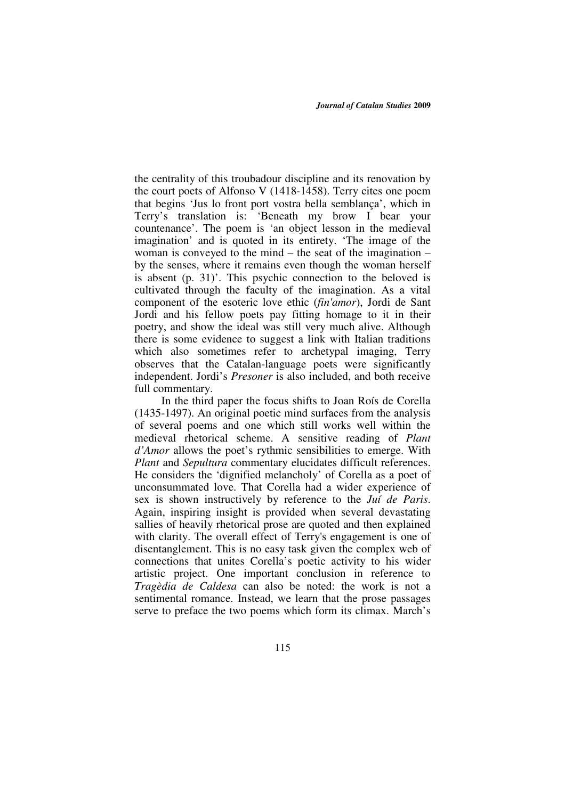the centrality of this troubadour discipline and its renovation by the court poets of Alfonso V (1418-1458). Terry cites one poem that begins 'Jus lo front port vostra bella semblança', which in Terry's translation is: 'Beneath my brow I bear your countenance'. The poem is 'an object lesson in the medieval imagination' and is quoted in its entirety. 'The image of the woman is conveyed to the mind – the seat of the imagination – by the senses, where it remains even though the woman herself is absent (p. 31)'. This psychic connection to the beloved is cultivated through the faculty of the imagination. As a vital component of the esoteric love ethic (*fin'amor*), Jordi de Sant Jordi and his fellow poets pay fitting homage to it in their poetry, and show the ideal was still very much alive. Although there is some evidence to suggest a link with Italian traditions which also sometimes refer to archetypal imaging, Terry observes that the Catalan-language poets were significantly independent. Jordi's *Presoner* is also included, and both receive full commentary.

In the third paper the focus shifts to Joan Roís de Corella (1435-1497). An original poetic mind surfaces from the analysis of several poems and one which still works well within the medieval rhetorical scheme. A sensitive reading of *Plant d'Amor* allows the poet's rythmic sensibilities to emerge. With *Plant* and *Sepultura* commentary elucidates difficult references. He considers the 'dignified melancholy' of Corella as a poet of unconsummated love. That Corella had a wider experience of sex is shown instructively by reference to the *Juí de Paris*. Again, inspiring insight is provided when several devastating sallies of heavily rhetorical prose are quoted and then explained with clarity. The overall effect of Terry's engagement is one of disentanglement. This is no easy task given the complex web of connections that unites Corella's poetic activity to his wider artistic project. One important conclusion in reference to *Tragèdia de Caldesa* can also be noted: the work is not a sentimental romance. Instead, we learn that the prose passages serve to preface the two poems which form its climax. March's